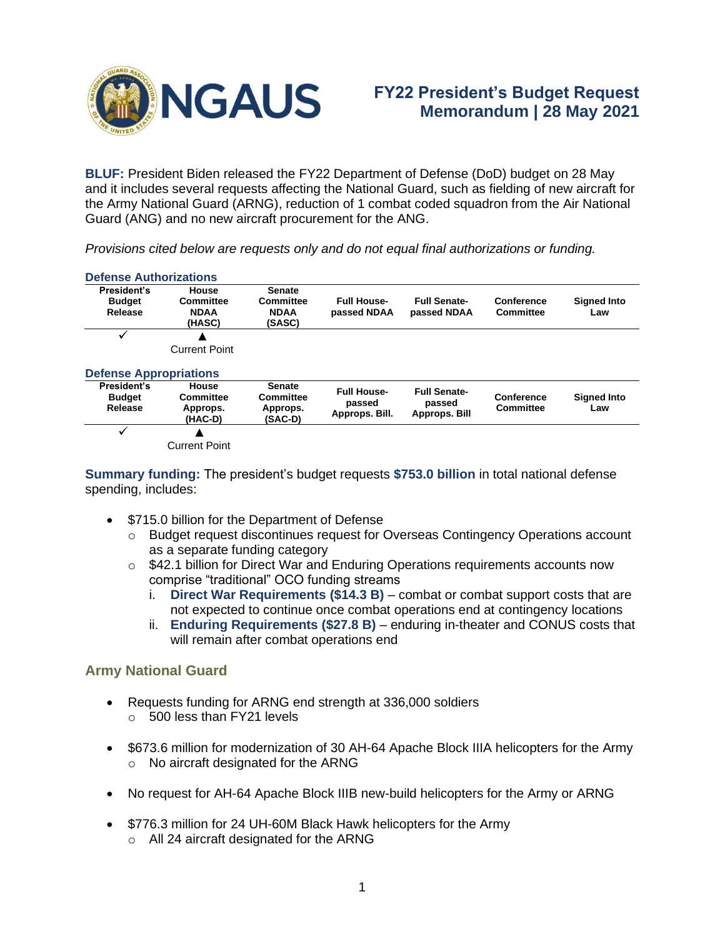

**Defense Authorizations**

**BLUF:** President Biden released the FY22 Department of Defense (DoD) budget on 28 May and it includes several requests affecting the National Guard, such as fielding of new aircraft for the Army National Guard (ARNG), reduction of 1 combat coded squadron from the Air National Guard (ANG) and no new aircraft procurement for the ANG.

*Provisions cited below are requests only and do not equal final authorizations or funding.*

| President's                             | House                                     | <b>Senate</b>                                     |                                                |                                                |                                |                           |
|-----------------------------------------|-------------------------------------------|---------------------------------------------------|------------------------------------------------|------------------------------------------------|--------------------------------|---------------------------|
| <b>Budget</b><br>Release                | Committee<br><b>NDAA</b><br>(HASC)        | Committee<br><b>NDAA</b><br>(SASC)                | <b>Full House-</b><br>passed NDAA              | <b>Full Senate-</b><br>passed NDAA             | Conference<br>Committee        | <b>Signed Into</b><br>Law |
|                                         | <b>Current Point</b>                      |                                                   |                                                |                                                |                                |                           |
| <b>Defense Appropriations</b>           |                                           |                                                   |                                                |                                                |                                |                           |
| President's<br><b>Budget</b><br>Release | House<br>Committee<br>Approps.<br>(HAC-D) | <b>Senate</b><br>Committee<br>Approps.<br>(SAC-D) | <b>Full House-</b><br>passed<br>Approps. Bill. | <b>Full Senate-</b><br>passed<br>Approps. Bill | Conference<br><b>Committee</b> | <b>Signed Into</b><br>Law |
|                                         |                                           |                                                   |                                                |                                                |                                |                           |
|                                         | <b>Current Point</b>                      |                                                   |                                                |                                                |                                |                           |

## **Summary funding:** The president's budget requests **\$753.0 billion** in total national defense spending, includes:

- \$715.0 billion for the Department of Defense
	- o Budget request discontinues request for Overseas Contingency Operations account as a separate funding category
	- $\circ$  \$42.1 billion for Direct War and Enduring Operations requirements accounts now comprise "traditional" OCO funding streams
		- i. **Direct War Requirements (\$14.3 B)** combat or combat support costs that are not expected to continue once combat operations end at contingency locations
		- ii. **Enduring Requirements (\$27.8 B)** enduring in-theater and CONUS costs that will remain after combat operations end

## **Army National Guard**

- Requests funding for ARNG end strength at 336,000 soldiers  $\circ$  500 less than FY21 levels
- \$673.6 million for modernization of 30 AH-64 Apache Block IIIA helicopters for the Army o No aircraft designated for the ARNG
- No request for AH-64 Apache Block IIIB new-build helicopters for the Army or ARNG
- \$776.3 million for 24 UH-60M Black Hawk helicopters for the Army
	- o All 24 aircraft designated for the ARNG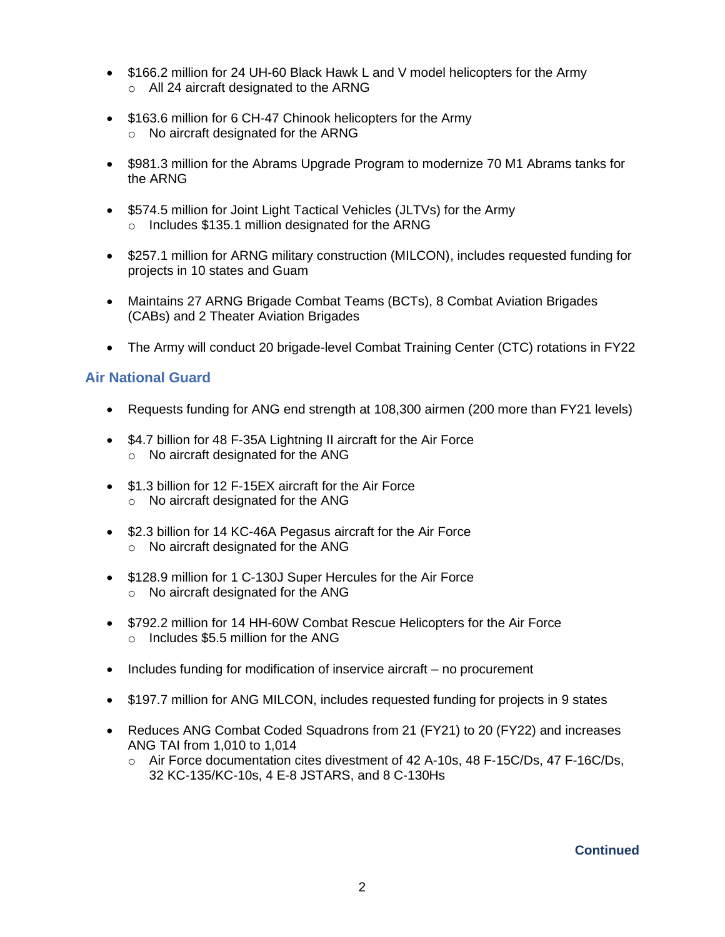- \$166.2 million for 24 UH-60 Black Hawk L and V model helicopters for the Army o All 24 aircraft designated to the ARNG
- \$163.6 million for 6 CH-47 Chinook helicopters for the Army o No aircraft designated for the ARNG
- \$981.3 million for the Abrams Upgrade Program to modernize 70 M1 Abrams tanks for the ARNG
- \$574.5 million for Joint Light Tactical Vehicles (JLTVs) for the Army o Includes \$135.1 million designated for the ARNG
- \$257.1 million for ARNG military construction (MILCON), includes requested funding for projects in 10 states and Guam
- Maintains 27 ARNG Brigade Combat Teams (BCTs), 8 Combat Aviation Brigades (CABs) and 2 Theater Aviation Brigades
- The Army will conduct 20 brigade-level Combat Training Center (CTC) rotations in FY22

## **Air National Guard**

- Requests funding for ANG end strength at 108,300 airmen (200 more than FY21 levels)
- \$4.7 billion for 48 F-35A Lightning II aircraft for the Air Force o No aircraft designated for the ANG
- \$1.3 billion for 12 F-15EX aircraft for the Air Force o No aircraft designated for the ANG
- \$2.3 billion for 14 KC-46A Pegasus aircraft for the Air Force o No aircraft designated for the ANG
- \$128.9 million for 1 C-130J Super Hercules for the Air Force o No aircraft designated for the ANG
- \$792.2 million for 14 HH-60W Combat Rescue Helicopters for the Air Force o Includes \$5.5 million for the ANG
- Includes funding for modification of inservice aircraft no procurement
- \$197.7 million for ANG MILCON, includes requested funding for projects in 9 states
- Reduces ANG Combat Coded Squadrons from 21 (FY21) to 20 (FY22) and increases ANG TAI from 1,010 to 1,014
	- o Air Force documentation cites divestment of 42 A-10s, 48 F-15C/Ds, 47 F-16C/Ds, 32 KC-135/KC-10s, 4 E-8 JSTARS, and 8 C-130Hs